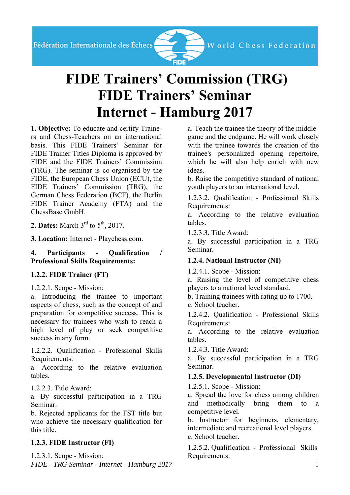

# **FIDE Trainers' Commission (TRG) FIDE Trainers' Seminar Internet - Hamburg 2017**

**1. Objective:** To educate and certify Trainers and Chess-Teachers on an international basis. This FIDE Trainers' Seminar for FIDE Trainer Titles Diploma is approved by FIDE and the FIDE Trainers' Commission (TRG). The seminar is co-organised by the FIDE, the European Chess Union (ECU), the FIDE Trainers' Commission (TRG), the German Chess Federation (BCF), the Berlin FIDE Trainer Academy (FTA) and the ChessBase GmbH.

**2. Dates:** March 3<sup>rd</sup> to 5<sup>th</sup>, 2017.

**3. Location:** Internet - Playchess.com.

**4. Participants** - **Qualification / Professional Skills Requirements:** 

### **1.2.2. FIDE Trainer (FT)**

1.2.2.1. Scope - Mission:

a. Introducing the trainee to important aspects of chess, such as the concept of and preparation for competitive success. This is necessary for trainees who wish to reach a high level of play or seek competitive success in any form.

1.2.2.2. Qualification - Professional Skills Requirements:

a. According to the relative evaluation tables.

1.2.2.3. Title Award:

a. By successful participation in a TRG Seminar.

b. Rejected applicants for the FST title but who achieve the necessary qualification for this title.

## **1.2.3. FIDE Instructor (FI)**

*FIDE - TRG Seminar - Internet - Hamburg 2017* 1 1.2.3.1. Scope - Mission:

a. Teach the trainee the theory of the middlegame and the endgame. He will work closely with the trainee towards the creation of the trainee's personalized opening repertoire, which he will also help enrich with new ideas.

b. Raise the competitive standard of national youth players to an international level.

1.2.3.2. Qualification - Professional Skills Requirements:

a. According to the relative evaluation tables.

1.2.3.3. Title Award:

a. By successful participation in a TRG Seminar.

## **1.2.4. National Instructor (NI)**

1.2.4.1. Scope - Mission:

a. Raising the level of competitive chess players to a national level standard.

b. Training trainees with rating up to 1700.

c. School teacher.

1.2.4.2. Qualification - Professional Skills Requirements:

a. According to the relative evaluation tables.

1.2.4.3. Title Award:

a. By successful participation in a TRG Seminar.

## **1.2.5. Developmental Instructor (DI)**

1.2.5.1. Scope - Mission:

a. Spread the love for chess among children and methodically bring them to a competitive level.

b. Instructor for beginners, elementary, intermediate and recreational level players.

c. School teacher.

1.2.5.2. Qualification - Professional Skills Requirements: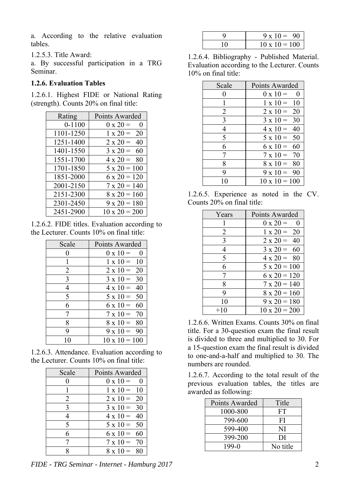a. According to the relative evaluation tables.

1.2.5.3. Title Award:

a. By successful participation in a TRG Seminar.

#### **1.2.6. Evaluation Tables**

1.2.6.1. Highest FIDE or National Rating (strength). Counts 20% on final title:

| Rating     | Points Awarded              |
|------------|-----------------------------|
| $0 - 1100$ | $0 \times 20 =$<br>$\theta$ |
| 1101-1250  | $1 \times 20 =$<br>20       |
| 1251-1400  | $2 \times 20 =$<br>40       |
| 1401-1550  | $3 \times 20 =$<br>60       |
| 1551-1700  | $4 \times 20 =$<br>80       |
| 1701-1850  | $5 \times 20 = 100$         |
| 1851-2000  | $6 \times 20 = 120$         |
| 2001-2150  | $7 \times 20 = 140$         |
| 2151-2300  | $8 \times 20 = 160$         |
| 2301-2450  | $9 \times 20 = 180$         |
| 2451-2900  | $10 \times 20 = 200$        |

1.2.6.2. FIDE titles. Evaluation according to the Lecturer. Counts 10% on final title:

| Scale          | Points Awarded              |
|----------------|-----------------------------|
|                | $0 \times 10 =$<br>$\theta$ |
|                | $1 \times 10 = 10$          |
| $\overline{2}$ | $2 \times 10 = 20$          |
| 3              | 30<br>$3 \times 10 =$       |
| 4              | 40<br>$4 \times 10 =$       |
| 5              | $5 \times 10 = 50$          |
| 6              | $6 \times 10 = 60$          |
|                | $7 \times 10 =$<br>70       |
| 8              | $8 \times 10 = 80$          |
| 9              | $9 \times 10 = 90$          |
|                | $10 \times 10 = 100$        |

1.2.6.3. Attendance. Evaluation according to the Lecturer. Counts 10% on final title:

| Scale | Points Awarded        |
|-------|-----------------------|
|       | $0 \times 10 =$<br>0  |
|       | $1 \times 10 = 10$    |
| 2     | $2 \times 10 = 20$    |
| 3     | 30<br>$3 \times 10 =$ |
|       | $4 \times 10 = 40$    |
| 5     | $5 \times 10 = 50$    |
| 6     | $6 \times 10 = 60$    |
|       | $7 \times 10 = 70$    |
|       | $8 \times 10 =$       |

*FIDE - TRG Seminar - Internet - Hamburg 2017* 2

| $9 \times 10 = 90$   |
|----------------------|
| $10 \times 10 = 100$ |

1.2.6.4. Bibliography - Published Material. Evaluation according to the Lecturer. Counts 10% on final title:

| Scale | Points Awarded                        |
|-------|---------------------------------------|
| 0     | $0 \times 10 =$<br>$\hspace{0.1em} 0$ |
| 1     | $1 \times 10 = 10$                    |
| 2     | $2 \times 10 = 20$                    |
| 3     | $3 \times 10 =$<br>30                 |
| 4     | $4 \times 10 = 40$                    |
| 5     | $5 \times 10 = 50$                    |
| 6     | $6 \times 10 =$<br>60                 |
| 7     | $7 \times 10 =$<br>- 70               |
| 8     | $8 \times 10 = 80$                    |
| 9     | $9 \times 10 = 90$                    |
| 10    | $10 \times 10 = 100$                  |

| 1.2.6.5. Experience as noted in the CV. |  |  |  |
|-----------------------------------------|--|--|--|
| Counts 20% on final title:              |  |  |  |

| Years | Points Awarded              |
|-------|-----------------------------|
|       | $0 \times 20 =$<br>$\theta$ |
| 2     | $1 \times 20 = 20$          |
| 3     | $2 \times 20 = 40$          |
| 4     | $3 \times 20 = 60$          |
| 5     | $4 \times 20 = 80$          |
| 6     | $5 \times 20 = 100$         |
| 7     | $6 \times 20 = 120$         |
| 8     | $7 \times 20 = 140$         |
| 9     | $8 \times 20 = 160$         |
| 10    | $9 \times 20 = 180$         |
| $+10$ | $10 \times 20 = 200$        |

1.2.6.6. Written Exams. Counts 30% on final title. For a 30-question exam the final result is divided to three and multiplied to 30. For a 15-question exam the final result is divided to one-and-a-half and multiplied to 30. The numbers are rounded.

1.2.6.7. According to the total result of the previous evaluation tables, the titles are awarded as following:

| Points Awarded | Title    |
|----------------|----------|
| 1000-800       | FT       |
| 799-600        | FI       |
| 599-400        | NI       |
| 399-200        | DI       |
| $199-0$        | No title |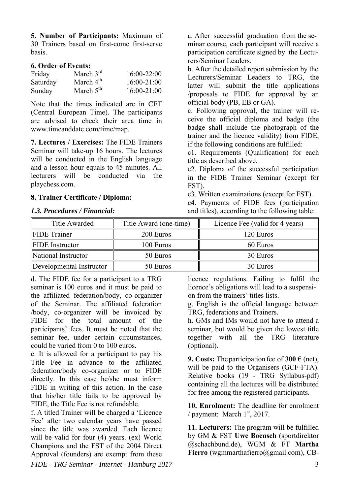**5. Number of Participants:** Maximum of 30 Trainers based on first-come first-serve basis.

#### **6. Order of Events:**

| Friday   | March $3rd$ | 16:00-22:00     |
|----------|-------------|-----------------|
| Saturday | March $4th$ | $16:00 - 21:00$ |
| Sunday   | March $5th$ | $16:00 - 21:00$ |

Note that the times indicated are in CET (Central European Time). The participants are advised to check their area time in www.timeanddate.com/time/map.

**7. Lectures / Exercises:** The FIDE Trainers Seminar will take-up 16 hours. The lectures will be conducted in the English language and a lesson hour equals to 45 minutes. All lecturers will be conducted via the playchess.com.

#### **8. Trainer Certificate / Diploma:**

#### *1.3. Procedures / Financial:*

a. After successful graduation from the seminar course, each participant will receive a participation certificate signed by the Lecturers/Seminar Leaders.

b. After the detailed reportsubmission by the Lecturers/Seminar Leaders to TRG, the latter will submit the title applications /proposals to FIDE for approval by an official body (PB, EB or GA).

c. Following approval, the trainer will receive the official diploma and badge (the badge shall include the photograph of the trainer and the licence validity) from FIDE, if the following conditions are fulfilled:

c1. Requirements (Qualification) for each title as described above.

c2. Diploma of the successful participation in the FIDE Trainer Seminar (except for FST).

c3. Written examinations (except for FST).

c4. Payments of FIDE fees (participation and titles), according to the following table:

| <b>Title Awarded</b>     | Title Award (one-time) | Licence Fee (valid for 4 years) |  |
|--------------------------|------------------------|---------------------------------|--|
| <b>FIDE</b> Trainer      | 200 Euros              | 120 Euros                       |  |
| <b>FIDE</b> Instructor   | 100 Euros              | 60 Euros                        |  |
| National Instructor      | 50 Euros               | 30 Euros                        |  |
| Developmental Instructor | 50 Euros               | 30 Euros                        |  |

d. The FIDE fee for a participant to a TRG seminar is 100 euros and it must be paid to the affiliated federation/body, co-organizer of the Seminar. The affiliated federation /body, co-organizer will be invoiced by FIDE for the total amount of the participants' fees. It must be noted that the seminar fee, under certain circumstances, could be varied from 0 to 100 euros.

e. It is allowed for a participant to pay his Title Fee in advance to the affiliated federation/body co-organizer or to FIDE directly. In this case he/she must inform FIDE in writing of this action. In the case that his/her title fails to be approved by FIDE, the Title Fee is not refundable.

f. A titled Trainer will be charged a 'Licence Fee' after two calendar years have passed since the title was awarded. Each licence will be valid for four (4) years. (ex) World Champions and the FST of the 2004 Direct Approval (founders) are exempt from these

licence regulations. Failing to fulfil the licence's obligations will lead to a suspension from the trainers' titles lists.

g. English is the official language between TRG, federations and Trainers.

h. GMs and IMs would not have to attend a seminar, but would be given the lowest title together with all the TRG literature (optional).

**9. Costs:** The participation fee of  $300 \in (net)$ , will be paid to the Organisers (GCF-FTA). Relative books (19 - TRG Syllabus-pdf) containing all the lectures will be distributed for free among the registered participants.

**10. Enrolment:** The deadline for enrolment / payment: March  $1<sup>st</sup>$ , 2017.

**11. Lecturers:** The program will be fulfilled by GM & FST **Uwe Boensch** (sportdirektor @schachbund.de), WGM & FT **Martha**  Fierro (wgmmarthafierro@gmail.com), CB-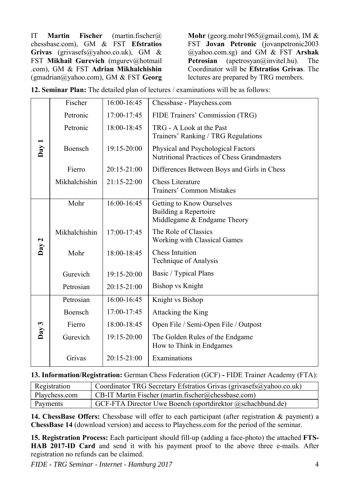IT **Martin Fischer** (martin.fischer@ chessbase.com), GM & FST **Efstratios Grivas** (grivasefs@yahoo.co.uk), GM & FST **Mikhail Gurevich** (mgurev@hotmail .com), GM & FST **Adrian Mikhalchishin** (gmadrian@yahoo.com), GM & FST **Georg**  **Mohr** (georg.mohr1965@gmail.com), IM & FST **Jovan Petronic** (jovanpetronic2003 @yahoo.com.sg) and GM & FST **Arshak Petrosian** (apetrosyan@invitel.hu). The Coordinator will be **Efstratios Grivas**. The lectures are prepared by TRG members.

**12. Seminar Plan:** The detailed plan of lectures / examinations will be as follows:

|       | Fischer       | 16:00-16:45     | Chessbase - Playchess.com                                                                |  |
|-------|---------------|-----------------|------------------------------------------------------------------------------------------|--|
|       | Petronic      | 17:00-17:45     | FIDE Trainers' Commission (TRG)                                                          |  |
|       | Petronic      | 18:00-18:45     | TRG - A Look at the Past<br>Trainers' Ranking / TRG Regulations                          |  |
| Day 1 | Boensch       | $19:15 - 20:00$ | Physical and Psychological Factors<br><b>Nutritional Practices of Chess Grandmasters</b> |  |
|       | Fierro        | $20:15 - 21:00$ | Differences Between Boys and Girls in Chess                                              |  |
|       | Mikhalchishin | 21:15-22:00     | <b>Chess Literature</b><br><b>Trainers' Common Mistakes</b>                              |  |
|       | Mohr          | $16:00 - 16:45$ | Getting to Know Ourselves<br>Building a Repertoire<br>Middlegame & Endgame Theory        |  |
|       | Mikhalchishin | 17:00-17:45     | The Role of Classics<br><b>Working with Classical Games</b>                              |  |
| Day 2 | Mohr          | 18:00-18:45     | <b>Chess Intuition</b><br>Technique of Analysis                                          |  |
|       | Gurevich      | $19:15 - 20:00$ | Basic / Typical Plans                                                                    |  |
|       | Petrosian     | 20:15-21:00     | Bishop vs Knight                                                                         |  |
|       | Petrosian     | 16:00-16:45     | Knight vs Bishop                                                                         |  |
|       | Boensch       | 17:00-17:45     | Attacking the King                                                                       |  |
| Day 3 | Fierro        | 18:00-18:45     | Open File / Semi-Open File / Outpost                                                     |  |
|       | Gurevich      | 19:15-20:00     | The Golden Rules of the Endgame<br>How to Think in Endgames                              |  |
|       | Grivas        | 20:15-21:00     | Examinations                                                                             |  |

**13. Information/Registration:** German Chess Federation (GCF) **-** FIDE Trainer Academy (FTA):

| Registration  | Coordinator TRG Secretary Efstratios Grivas (grivasefs@yahoo.co.uk) |
|---------------|---------------------------------------------------------------------|
| Playchess.com | CB-IT Martin Fischer (martin fischer $(a)$ chessbase.com)           |
| Payments      | GCF-FTA Director Uwe Boench (sportdirektor @schachbund.de)          |

**14. ChessBase Offers:** Chessbase will offer to each participant (after registration & payment) a **ChessBase 14** (download version) and access to Playchess.com for the period of the seminar.

**15. Registration Process:** Each participant should fill-up (adding a face-photo) the attached **FTS-HAB 2017-ID Card** and send it with his payment proof to the above three e-mails. After registration no refunds can be claimed.

*FIDE - TRG Seminar - Internet - Hamburg 2017* 4